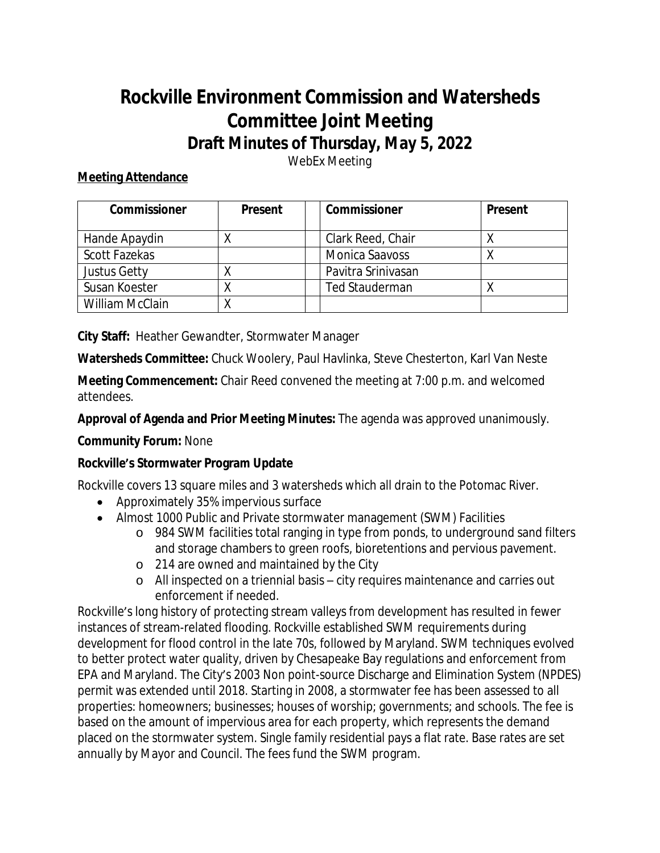# **Rockville Environment Commission and Watersheds Committee Joint Meeting Draft Minutes of Thursday, May 5, 2022**

WebEx Meeting

# **Meeting Attendance**

| <b>Commissioner</b> | <b>Present</b> | Commissioner          | <b>Present</b> |
|---------------------|----------------|-----------------------|----------------|
| Hande Apaydin       |                | Clark Reed, Chair     |                |
| Scott Fazekas       |                | <b>Monica Saavoss</b> |                |
| Justus Getty        |                | Pavitra Srinivasan    |                |
| Susan Koester       |                | <b>Ted Stauderman</b> |                |
| William McClain     |                |                       |                |

**City Staff:** Heather Gewandter, Stormwater Manager

**Watersheds Committee:** Chuck Woolery, Paul Havlinka, Steve Chesterton, Karl Van Neste

**Meeting Commencement:** Chair Reed convened the meeting at 7:00 p.m. and welcomed attendees.

**Approval of Agenda and Prior Meeting Minutes:** The agenda was approved unanimously.

# **Community Forum:** None

# **Rockville's Stormwater Program Update**

Rockville covers 13 square miles and 3 watersheds which all drain to the Potomac River.

- Approximately 35% impervious surface
- Almost 1000 Public and Private stormwater management (SWM) Facilities
	- o 984 SWM facilities total ranging in type from ponds, to underground sand filters and storage chambers to green roofs, bioretentions and pervious pavement.
	- o 214 are owned and maintained by the City
	- o All inspected on a triennial basis city requires maintenance and carries out enforcement if needed.

Rockville's long history of protecting stream valleys from development has resulted in fewer instances of stream-related flooding. Rockville established SWM requirements during development for flood control in the late 70s, followed by Maryland. SWM techniques evolved to better protect water quality, driven by Chesapeake Bay regulations and enforcement from EPA and Maryland. The City's 2003 Non point-source Discharge and Elimination System (NPDES) permit was extended until 2018. Starting in 2008, a stormwater fee has been assessed to all properties: homeowners; businesses; houses of worship; governments; and schools. The fee is based on the amount of impervious area for each property, which represents the demand placed on the stormwater system. Single family residential pays a flat rate. Base rates are set annually by Mayor and Council. The fees fund the SWM program.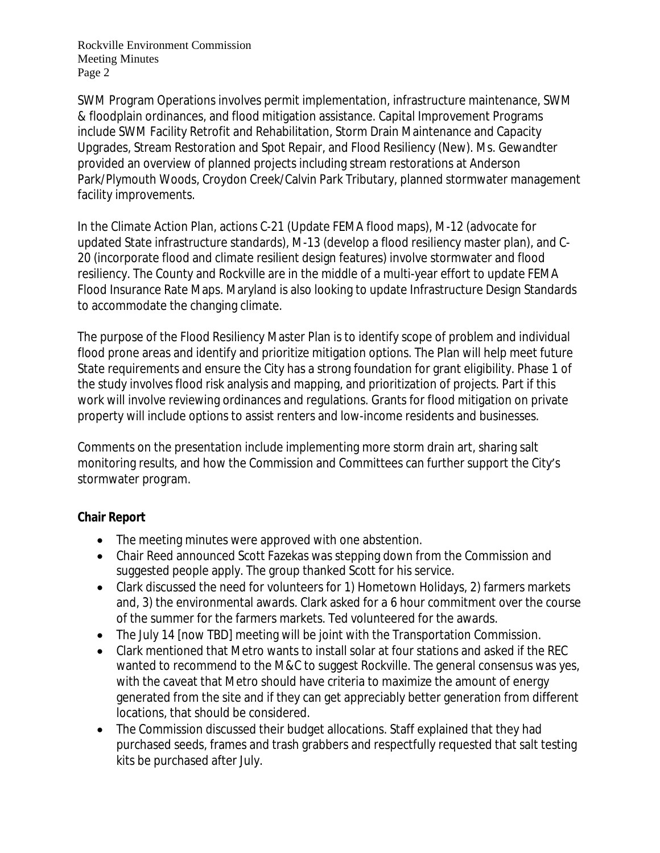Rockville Environment Commission Meeting Minutes Page 2

SWM Program Operations involves permit implementation, infrastructure maintenance, SWM & floodplain ordinances, and flood mitigation assistance. Capital Improvement Programs include SWM Facility Retrofit and Rehabilitation, Storm Drain Maintenance and Capacity Upgrades, Stream Restoration and Spot Repair, and Flood Resiliency (New). Ms. Gewandter provided an overview of planned projects including stream restorations at Anderson Park/Plymouth Woods, Croydon Creek/Calvin Park Tributary, planned stormwater management facility improvements.

In the Climate Action Plan, actions C-21 (Update FEMA flood maps), M-12 (advocate for updated State infrastructure standards), M-13 (develop a flood resiliency master plan), and C-20 (incorporate flood and climate resilient design features) involve stormwater and flood resiliency. The County and Rockville are in the middle of a multi-year effort to update FEMA Flood Insurance Rate Maps. Maryland is also looking to update Infrastructure Design Standards to accommodate the changing climate.

The purpose of the Flood Resiliency Master Plan is to identify scope of problem and individual flood prone areas and identify and prioritize mitigation options. The Plan will help meet future State requirements and ensure the City has a strong foundation for grant eligibility. Phase 1 of the study involves flood risk analysis and mapping, and prioritization of projects. Part if this work will involve reviewing ordinances and regulations. Grants for flood mitigation on private property will include options to assist renters and low-income residents and businesses.

Comments on the presentation include implementing more storm drain art, sharing salt monitoring results, and how the Commission and Committees can further support the City's stormwater program.

# **Chair Report**

- The meeting minutes were approved with one abstention.
- Chair Reed announced Scott Fazekas was stepping down from the Commission and suggested people apply. The group thanked Scott for his service.
- Clark discussed the need for volunteers for 1) Hometown Holidays, 2) farmers markets and, 3) the environmental awards. Clark asked for a 6 hour commitment over the course of the summer for the farmers markets. Ted volunteered for the awards.
- The July 14 [now TBD] meeting will be joint with the Transportation Commission.
- Clark mentioned that Metro wants to install solar at four stations and asked if the REC wanted to recommend to the M&C to suggest Rockville. The general consensus was yes, with the caveat that Metro should have criteria to maximize the amount of energy generated from the site and if they can get appreciably better generation from different locations, that should be considered.
- The Commission discussed their budget allocations. Staff explained that they had purchased seeds, frames and trash grabbers and respectfully requested that salt testing kits be purchased after July.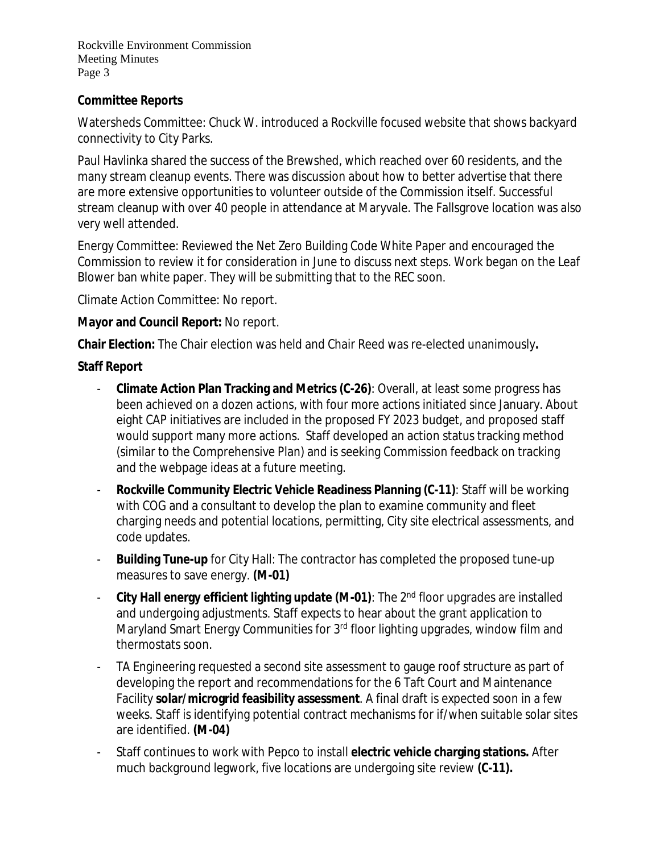Rockville Environment Commission Meeting Minutes Page 3

#### **Committee Reports**

Watersheds Committee: Chuck W. introduced a Rockville focused website that shows backyard connectivity to City Parks.

Paul Havlinka shared the success of the Brewshed, which reached over 60 residents, and the many stream cleanup events. There was discussion about how to better advertise that there are more extensive opportunities to volunteer outside of the Commission itself. Successful stream cleanup with over 40 people in attendance at Maryvale. The Fallsgrove location was also very well attended.

Energy Committee: Reviewed the Net Zero Building Code White Paper and encouraged the Commission to review it for consideration in June to discuss next steps. Work began on the Leaf Blower ban white paper. They will be submitting that to the REC soon.

Climate Action Committee: No report.

#### **Mayor and Council Report:** No report.

**Chair Election:** The Chair election was held and Chair Reed was re-elected unanimously**.**

#### **Staff Report**

- **Climate Action Plan Tracking and Metrics (C-26)**: Overall, at least some progress has been achieved on a dozen actions, with four more actions initiated since January. About eight CAP initiatives are included in the proposed FY 2023 budget, and proposed staff would support many more actions. Staff developed an action status tracking method (similar to the Comprehensive Plan) and is seeking Commission feedback on tracking and the webpage ideas at a future meeting.
- **Rockville Community Electric Vehicle Readiness Planning (C-11): Staff will be working** with COG and a consultant to develop the plan to examine community and fleet charging needs and potential locations, permitting, City site electrical assessments, and code updates.
- **Building Tune-up** for City Hall: The contractor has completed the proposed tune-up measures to save energy. **(M-01)**
- **City Hall energy efficient lighting update (M-01)**: The 2nd floor upgrades are installed and undergoing adjustments. Staff expects to hear about the grant application to Maryland Smart Energy Communities for 3<sup>rd</sup> floor lighting upgrades, window film and thermostats soon.
- TA Engineering requested a second site assessment to gauge roof structure as part of developing the report and recommendations for the 6 Taft Court and Maintenance Facility **solar/microgrid feasibility assessment**. A final draft is expected soon in a few weeks. Staff is identifying potential contract mechanisms for if/when suitable solar sites are identified. **(M-04)**
- Staff continues to work with Pepco to install **electric vehicle charging stations.** After much background legwork, five locations are undergoing site review **(C-11).**